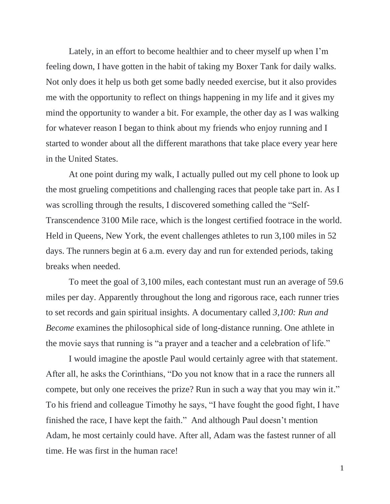Lately, in an effort to become healthier and to cheer myself up when I'm feeling down, I have gotten in the habit of taking my Boxer Tank for daily walks. Not only does it help us both get some badly needed exercise, but it also provides me with the opportunity to reflect on things happening in my life and it gives my mind the opportunity to wander a bit. For example, the other day as I was walking for whatever reason I began to think about my friends who enjoy running and I started to wonder about all the different marathons that take place every year here in the United States.

At one point during my walk, I actually pulled out my cell phone to look up the most grueling competitions and challenging races that people take part in. As I was scrolling through the results, I discovered something called the "Self-Transcendence 3100 Mile race, which is the longest certified footrace in the world. Held in Queens, New York, the event challenges athletes to run 3,100 miles in 52 days. The runners begin at 6 a.m. every day and run for extended periods, taking breaks when needed.

To meet the goal of 3,100 miles, each contestant must run an average of 59.6 miles per day. Apparently throughout the long and rigorous race, each runner tries to set records and gain spiritual insights. A documentary called *3,100: Run and Become* examines the philosophical side of long-distance running. One athlete in the movie says that running is "a prayer and a teacher and a celebration of life."

I would imagine the apostle Paul would certainly agree with that statement. After all, he asks the Corinthians, "Do you not know that in a race the runners all compete, but only one receives the prize? Run in such a way that you may win it." To his friend and colleague Timothy he says, "I have fought the good fight, I have finished the race, I have kept the faith." And although Paul doesn't mention Adam, he most certainly could have. After all, Adam was the fastest runner of all time. He was first in the human race!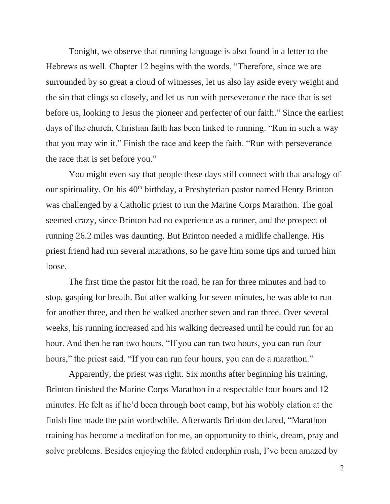Tonight, we observe that running language is also found in a letter to the Hebrews as well. Chapter 12 begins with the words, "Therefore, since we are surrounded by so great a cloud of witnesses, let us also lay aside every weight and the sin that clings so closely, and let us run with perseverance the race that is set before us, looking to Jesus the pioneer and perfecter of our faith." Since the earliest days of the church, Christian faith has been linked to running. "Run in such a way that you may win it." Finish the race and keep the faith. "Run with perseverance the race that is set before you."

You might even say that people these days still connect with that analogy of our spirituality. On his 40<sup>th</sup> birthday, a Presbyterian pastor named Henry Brinton was challenged by a Catholic priest to run the Marine Corps Marathon. The goal seemed crazy, since Brinton had no experience as a runner, and the prospect of running 26.2 miles was daunting. But Brinton needed a midlife challenge. His priest friend had run several marathons, so he gave him some tips and turned him loose.

The first time the pastor hit the road, he ran for three minutes and had to stop, gasping for breath. But after walking for seven minutes, he was able to run for another three, and then he walked another seven and ran three. Over several weeks, his running increased and his walking decreased until he could run for an hour. And then he ran two hours. "If you can run two hours, you can run four hours," the priest said. "If you can run four hours, you can do a marathon."

Apparently, the priest was right. Six months after beginning his training, Brinton finished the Marine Corps Marathon in a respectable four hours and 12 minutes. He felt as if he'd been through boot camp, but his wobbly elation at the finish line made the pain worthwhile. Afterwards Brinton declared, "Marathon training has become a meditation for me, an opportunity to think, dream, pray and solve problems. Besides enjoying the fabled endorphin rush, I've been amazed by

2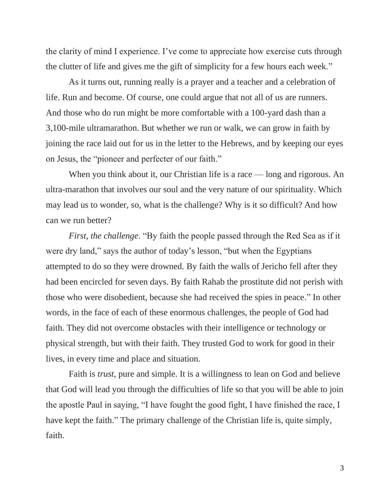the clarity of mind I experience. I've come to appreciate how exercise cuts through the clutter of life and gives me the gift of simplicity for a few hours each week."

As it turns out, running really is a prayer and a teacher and a celebration of life. Run and become. Of course, one could argue that not all of us are runners. And those who do run might be more comfortable with a 100-yard dash than a 3,100-mile ultramarathon. But whether we run or walk, we can grow in faith by joining the race laid out for us in the letter to the Hebrews, and by keeping our eyes on Jesus, the "pioneer and perfecter of our faith."

When you think about it, our Christian life is a race — long and rigorous. An ultra-marathon that involves our soul and the very nature of our spirituality. Which may lead us to wonder, so, what is the challenge? Why is it so difficult? And how can we run better?

*First, the challenge*. "By faith the people passed through the Red Sea as if it were dry land," says the author of today's lesson, "but when the Egyptians attempted to do so they were drowned. By faith the walls of Jericho fell after they had been encircled for seven days. By faith Rahab the prostitute did not perish with those who were disobedient, because she had received the spies in peace." In other words, in the face of each of these enormous challenges, the people of God had faith. They did not overcome obstacles with their intelligence or technology or physical strength, but with their faith. They trusted God to work for good in their lives, in every time and place and situation.

Faith is *trust*, pure and simple. It is a willingness to lean on God and believe that God will lead you through the difficulties of life so that you will be able to join the apostle Paul in saying, "I have fought the good fight, I have finished the race, I have kept the faith." The primary challenge of the Christian life is, quite simply, faith.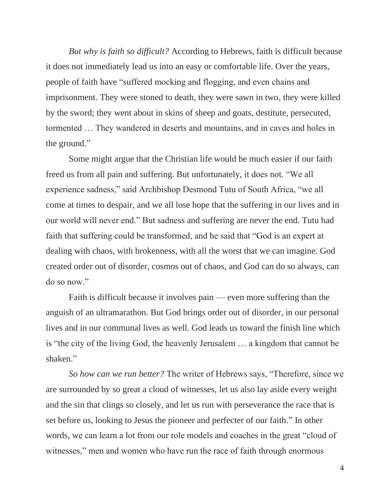*But why is faith so difficult?* According to Hebrews, faith is difficult because it does not immediately lead us into an easy or comfortable life. Over the years, people of faith have "suffered mocking and flogging, and even chains and imprisonment. They were stoned to death, they were sawn in two, they were killed by the sword; they went about in skins of sheep and goats, destitute, persecuted, tormented … They wandered in deserts and mountains, and in caves and holes in the ground."

Some might argue that the Christian life would be much easier if our faith freed us from all pain and suffering. But unfortunately, it does not. "We all experience sadness," said Archbishop Desmond Tutu of South Africa, "we all come at times to despair, and we all lose hope that the suffering in our lives and in our world will never end." But sadness and suffering are never the end. Tutu had faith that suffering could be transformed, and he said that "God is an expert at dealing with chaos, with brokenness, with all the worst that we can imagine. God created order out of disorder, cosmos out of chaos, and God can do so always, can do so now."

Faith is difficult because it involves pain — even more suffering than the anguish of an ultramarathon. But God brings order out of disorder, in our personal lives and in our communal lives as well. God leads us toward the finish line which is "the city of the living God, the heavenly Jerusalem … a kingdom that cannot be shaken."

*So how can we run better?* The writer of Hebrews says, "Therefore, since we are surrounded by so great a cloud of witnesses, let us also lay aside every weight and the sin that clings so closely, and let us run with perseverance the race that is set before us, looking to Jesus the pioneer and perfecter of our faith." In other words, we can learn a lot from our role models and coaches in the great "cloud of witnesses," men and women who have run the race of faith through enormous